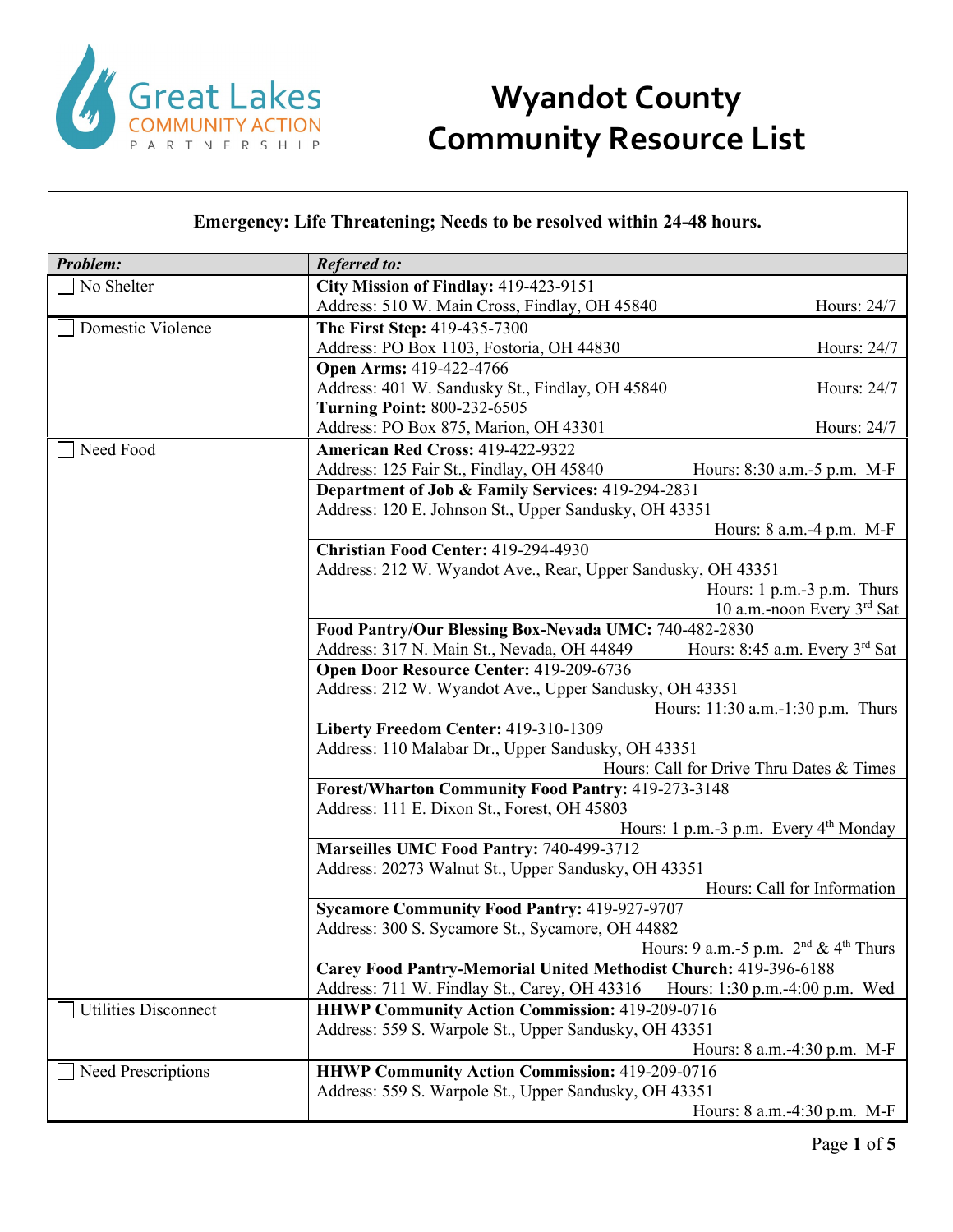

#### **Emergency: Life Threatening; Needs to be resolved within 24-48 hours.**

| Problem:                                                                           | <b>Referred to:</b>                                                                               |  |  |
|------------------------------------------------------------------------------------|---------------------------------------------------------------------------------------------------|--|--|
| No Shelter                                                                         | City Mission of Findlay: 419-423-9151                                                             |  |  |
|                                                                                    | Address: 510 W. Main Cross, Findlay, OH 45840<br>Hours: 24/7                                      |  |  |
| Domestic Violence                                                                  | The First Step: 419-435-7300                                                                      |  |  |
|                                                                                    | Address: PO Box 1103, Fostoria, OH 44830<br>Hours: 24/7                                           |  |  |
|                                                                                    | Open Arms: 419-422-4766                                                                           |  |  |
|                                                                                    | Address: 401 W. Sandusky St., Findlay, OH 45840<br>Hours: 24/7                                    |  |  |
|                                                                                    | <b>Turning Point: 800-232-6505</b>                                                                |  |  |
|                                                                                    | Address: PO Box 875, Marion, OH 43301<br>Hours: 24/7                                              |  |  |
| Need Food                                                                          | American Red Cross: 419-422-9322                                                                  |  |  |
|                                                                                    | Address: 125 Fair St., Findlay, OH 45840<br>Hours: 8:30 a.m.-5 p.m. M-F                           |  |  |
|                                                                                    | Department of Job & Family Services: 419-294-2831                                                 |  |  |
|                                                                                    | Address: 120 E. Johnson St., Upper Sandusky, OH 43351                                             |  |  |
|                                                                                    | Hours: 8 a.m. -4 p.m. M-F                                                                         |  |  |
|                                                                                    | Christian Food Center: 419-294-4930                                                               |  |  |
|                                                                                    | Address: 212 W. Wyandot Ave., Rear, Upper Sandusky, OH 43351                                      |  |  |
|                                                                                    | Hours: 1 p.m.-3 p.m. Thurs                                                                        |  |  |
|                                                                                    | 10 a.m.-noon Every 3rd Sat                                                                        |  |  |
|                                                                                    | Food Pantry/Our Blessing Box-Nevada UMC: 740-482-2830                                             |  |  |
|                                                                                    | Hours: 8:45 a.m. Every 3rd Sat<br>Address: 317 N. Main St., Nevada, OH 44849                      |  |  |
|                                                                                    | Open Door Resource Center: 419-209-6736                                                           |  |  |
|                                                                                    | Address: 212 W. Wyandot Ave., Upper Sandusky, OH 43351                                            |  |  |
| Hours: 11:30 a.m.-1:30 p.m. Thurs                                                  |                                                                                                   |  |  |
| Liberty Freedom Center: 419-310-1309                                               |                                                                                                   |  |  |
|                                                                                    | Address: 110 Malabar Dr., Upper Sandusky, OH 43351<br>Hours: Call for Drive Thru Dates & Times    |  |  |
|                                                                                    |                                                                                                   |  |  |
|                                                                                    | Forest/Wharton Community Food Pantry: 419-273-3148<br>Address: 111 E. Dixon St., Forest, OH 45803 |  |  |
|                                                                                    | Hours: 1 p.m.-3 p.m. Every $4th$ Monday                                                           |  |  |
|                                                                                    | Marseilles UMC Food Pantry: 740-499-3712                                                          |  |  |
|                                                                                    | Address: 20273 Walnut St., Upper Sandusky, OH 43351                                               |  |  |
| Hours: Call for Information<br><b>Sycamore Community Food Pantry: 419-927-9707</b> |                                                                                                   |  |  |
|                                                                                    |                                                                                                   |  |  |
| Hours: 9 a.m.-5 p.m. $2nd \& 4th Thus$                                             |                                                                                                   |  |  |
|                                                                                    | Carey Food Pantry-Memorial United Methodist Church: 419-396-6188                                  |  |  |
|                                                                                    | Hours: 1:30 p.m.-4:00 p.m. Wed<br>Address: 711 W. Findlay St., Carey, OH 43316                    |  |  |
| <b>Utilities Disconnect</b>                                                        | <b>HHWP Community Action Commission: 419-209-0716</b>                                             |  |  |
|                                                                                    | Address: 559 S. Warpole St., Upper Sandusky, OH 43351                                             |  |  |
|                                                                                    | Hours: 8 a.m. -4:30 p.m. M-F                                                                      |  |  |
| Need Prescriptions                                                                 | <b>HHWP Community Action Commission: 419-209-0716</b>                                             |  |  |
|                                                                                    | Address: 559 S. Warpole St., Upper Sandusky, OH 43351                                             |  |  |
|                                                                                    | Hours: 8 a.m.-4:30 p.m. M-F                                                                       |  |  |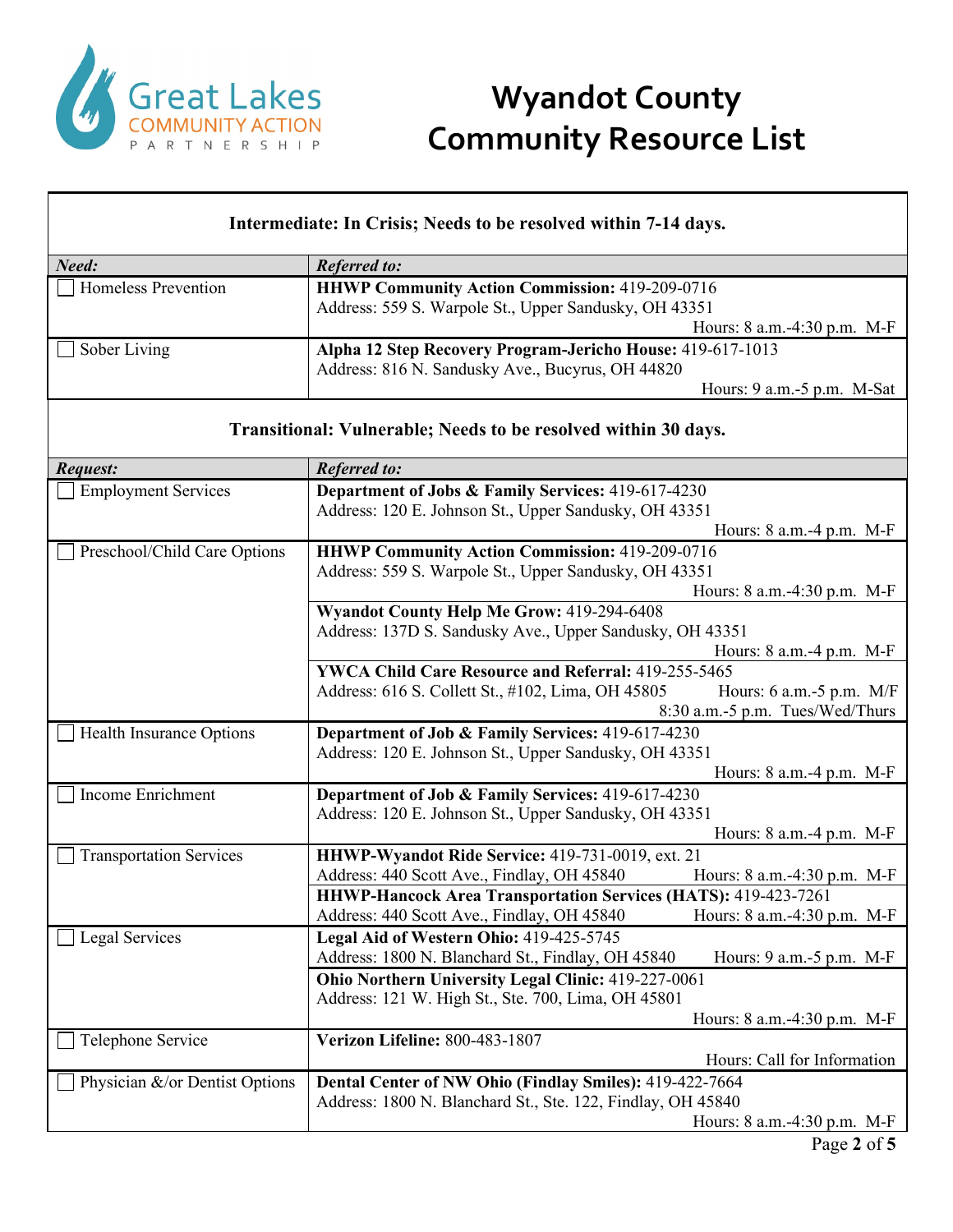

| Intermediate: In Crisis; Needs to be resolved within 7-14 days. |                                                                                                                                                                                                                                                                                     |  |
|-----------------------------------------------------------------|-------------------------------------------------------------------------------------------------------------------------------------------------------------------------------------------------------------------------------------------------------------------------------------|--|
| Need:                                                           | <b>Referred to:</b>                                                                                                                                                                                                                                                                 |  |
| Homeless Prevention                                             | <b>HHWP Community Action Commission: 419-209-0716</b><br>Address: 559 S. Warpole St., Upper Sandusky, OH 43351<br>Hours: 8 a.m.-4:30 p.m. M-F                                                                                                                                       |  |
| Sober Living                                                    | Alpha 12 Step Recovery Program-Jericho House: 419-617-1013<br>Address: 816 N. Sandusky Ave., Bucyrus, OH 44820<br>Hours: $9$ a.m. $-5$ p.m. M-Sat                                                                                                                                   |  |
|                                                                 | Transitional: Vulnerable; Needs to be resolved within 30 days.                                                                                                                                                                                                                      |  |
| Request:                                                        | <b>Referred to:</b>                                                                                                                                                                                                                                                                 |  |
| <b>Employment Services</b>                                      | Department of Jobs & Family Services: 419-617-4230<br>Address: 120 E. Johnson St., Upper Sandusky, OH 43351<br>Hours: 8 a.m.-4 p.m. M-F                                                                                                                                             |  |
| Preschool/Child Care Options                                    | <b>HHWP Community Action Commission: 419-209-0716</b><br>Address: 559 S. Warpole St., Upper Sandusky, OH 43351<br>Hours: 8 a.m.-4:30 p.m. M-F                                                                                                                                       |  |
|                                                                 | Wyandot County Help Me Grow: 419-294-6408<br>Address: 137D S. Sandusky Ave., Upper Sandusky, OH 43351<br>Hours: 8 a.m.-4 p.m. M-F                                                                                                                                                   |  |
|                                                                 | YWCA Child Care Resource and Referral: 419-255-5465<br>Address: 616 S. Collett St., #102, Lima, OH 45805<br>Hours: $6$ a.m. $-5$ p.m. M/F<br>8:30 a.m.-5 p.m. Tues/Wed/Thurs                                                                                                        |  |
| Health Insurance Options                                        | Department of Job & Family Services: 419-617-4230<br>Address: 120 E. Johnson St., Upper Sandusky, OH 43351<br>Hours: 8 a.m.-4 p.m. M-F                                                                                                                                              |  |
| Income Enrichment                                               | Department of Job & Family Services: 419-617-4230<br>Address: 120 E. Johnson St., Upper Sandusky, OH 43351<br>Hours: 8 a.m.-4 p.m. M-F                                                                                                                                              |  |
| <b>Transportation Services</b>                                  | HHWP-Wyandot Ride Service: 419-731-0019, ext. 21<br>Address: 440 Scott Ave., Findlay, OH 45840<br>Hours: 8 a.m.-4:30 p.m. M-F<br><b>HHWP-Hancock Area Transportation Services (HATS): 419-423-7261</b><br>Address: 440 Scott Ave., Findlay, OH 45840<br>Hours: 8 a.m.-4:30 p.m. M-F |  |
| Legal Services                                                  | Legal Aid of Western Ohio: 419-425-5745<br>Address: 1800 N. Blanchard St., Findlay, OH 45840<br>Hours: 9 a.m. -5 p.m. M-F<br>Ohio Northern University Legal Clinic: 419-227-0061                                                                                                    |  |
| Telephone Service                                               | Address: 121 W. High St., Ste. 700, Lima, OH 45801<br>Hours: 8 a.m.-4:30 p.m. M-F<br>Verizon Lifeline: 800-483-1807                                                                                                                                                                 |  |
| Physician &/or Dentist Options                                  | Hours: Call for Information<br>Dental Center of NW Ohio (Findlay Smiles): 419-422-7664<br>Address: 1800 N. Blanchard St., Ste. 122, Findlay, OH 45840<br>Hours: 8 a.m.-4:30 p.m. M-F                                                                                                |  |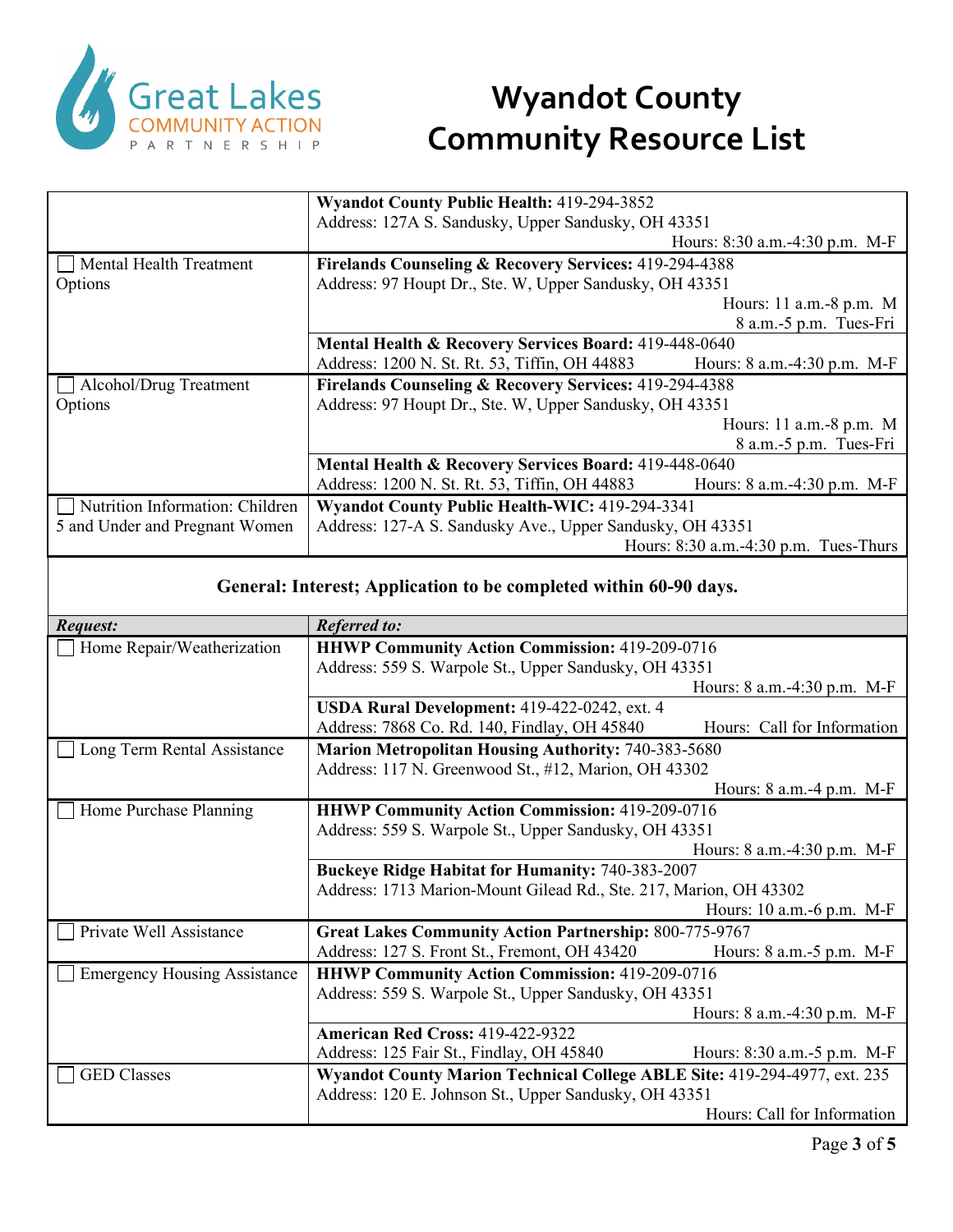

|                                                                   | <b>Wyandot County Public Health: 419-294-3852</b>                 |                                       |
|-------------------------------------------------------------------|-------------------------------------------------------------------|---------------------------------------|
|                                                                   | Address: 127A S. Sandusky, Upper Sandusky, OH 43351               |                                       |
|                                                                   |                                                                   | Hours: 8:30 a.m.-4:30 p.m. M-F        |
| Mental Health Treatment                                           | <b>Firelands Counseling &amp; Recovery Services: 419-294-4388</b> |                                       |
| Options                                                           | Address: 97 Houpt Dr., Ste. W, Upper Sandusky, OH 43351           |                                       |
|                                                                   |                                                                   | Hours: 11 a.m.-8 p.m. M               |
|                                                                   |                                                                   | 8 a.m.-5 p.m. Tues-Fri                |
|                                                                   | Mental Health & Recovery Services Board: 419-448-0640             |                                       |
|                                                                   | Address: 1200 N. St. Rt. 53, Tiffin, OH 44883                     | Hours: $8$ a.m.-4:30 p.m. M-F         |
| Alcohol/Drug Treatment                                            | <b>Firelands Counseling &amp; Recovery Services: 419-294-4388</b> |                                       |
| Options                                                           | Address: 97 Houpt Dr., Ste. W, Upper Sandusky, OH 43351           |                                       |
|                                                                   |                                                                   | Hours: $11$ a.m. $-8$ p.m. M          |
|                                                                   |                                                                   | 8 a.m.-5 p.m. Tues-Fri                |
|                                                                   | Mental Health & Recovery Services Board: 419-448-0640             |                                       |
|                                                                   | Address: 1200 N. St. Rt. 53, Tiffin, OH 44883                     | Hours: 8 a.m.-4:30 p.m. M-F           |
| Nutrition Information: Children                                   | <b>Wyandot County Public Health-WIC: 419-294-3341</b>             |                                       |
| 5 and Under and Pregnant Women                                    | Address: 127-A S. Sandusky Ave., Upper Sandusky, OH 43351         |                                       |
|                                                                   |                                                                   | Hours: 8:30 a.m.-4:30 p.m. Tues-Thurs |
|                                                                   |                                                                   |                                       |
| General: Interest; Application to be completed within 60-90 days. |                                                                   |                                       |
|                                                                   |                                                                   |                                       |
| Roanost <sup>.</sup>                                              | $Ro$ forrod to:                                                   |                                       |

| <b>Request:</b>                     | <b>Referred to:</b>                                                                                            |                                  |  |
|-------------------------------------|----------------------------------------------------------------------------------------------------------------|----------------------------------|--|
| Home Repair/Weatherization          | <b>HHWP Community Action Commission: 419-209-0716</b>                                                          |                                  |  |
|                                     | Address: 559 S. Warpole St., Upper Sandusky, OH 43351                                                          |                                  |  |
|                                     |                                                                                                                | Hours: $8$ a.m. $-4:30$ p.m. M-F |  |
|                                     | USDA Rural Development: 419-422-0242, ext. 4                                                                   |                                  |  |
|                                     | Address: 7868 Co. Rd. 140, Findlay, OH 45840                                                                   | Hours: Call for Information      |  |
| Long Term Rental Assistance         | <b>Marion Metropolitan Housing Authority: 740-383-5680</b>                                                     |                                  |  |
|                                     | Address: 117 N. Greenwood St., #12, Marion, OH 43302                                                           |                                  |  |
|                                     |                                                                                                                | Hours: $8$ a.m. $-4$ p.m. M-F    |  |
| Home Purchase Planning              | <b>HHWP Community Action Commission: 419-209-0716</b><br>Address: 559 S. Warpole St., Upper Sandusky, OH 43351 |                                  |  |
|                                     |                                                                                                                |                                  |  |
|                                     |                                                                                                                | Hours: 8 a.m.-4:30 p.m. M-F      |  |
|                                     | <b>Buckeye Ridge Habitat for Humanity: 740-383-2007</b>                                                        |                                  |  |
|                                     | Address: 1713 Marion-Mount Gilead Rd., Ste. 217, Marion, OH 43302                                              |                                  |  |
|                                     |                                                                                                                | Hours: $10$ a.m. $-6$ p.m. M-F   |  |
| Private Well Assistance             | <b>Great Lakes Community Action Partnership: 800-775-9767</b>                                                  |                                  |  |
|                                     | Address: 127 S. Front St., Fremont, OH 43420                                                                   | Hours: $8$ a.m. $-5$ p.m. M-F    |  |
| <b>Emergency Housing Assistance</b> | <b>HHWP Community Action Commission: 419-209-0716</b>                                                          |                                  |  |
|                                     | Address: 559 S. Warpole St., Upper Sandusky, OH 43351                                                          |                                  |  |
|                                     |                                                                                                                | Hours: 8 a.m.-4:30 p.m. M-F      |  |
|                                     | American Red Cross: 419-422-9322                                                                               |                                  |  |
|                                     | Address: 125 Fair St., Findlay, OH 45840                                                                       | Hours: 8:30 a.m. -5 p.m. M-F     |  |
| <b>GED Classes</b>                  | Wyandot County Marion Technical College ABLE Site: 419-294-4977, ext. 235                                      |                                  |  |
|                                     | Address: 120 E. Johnson St., Upper Sandusky, OH 43351                                                          |                                  |  |
|                                     |                                                                                                                | Hours: Call for Information      |  |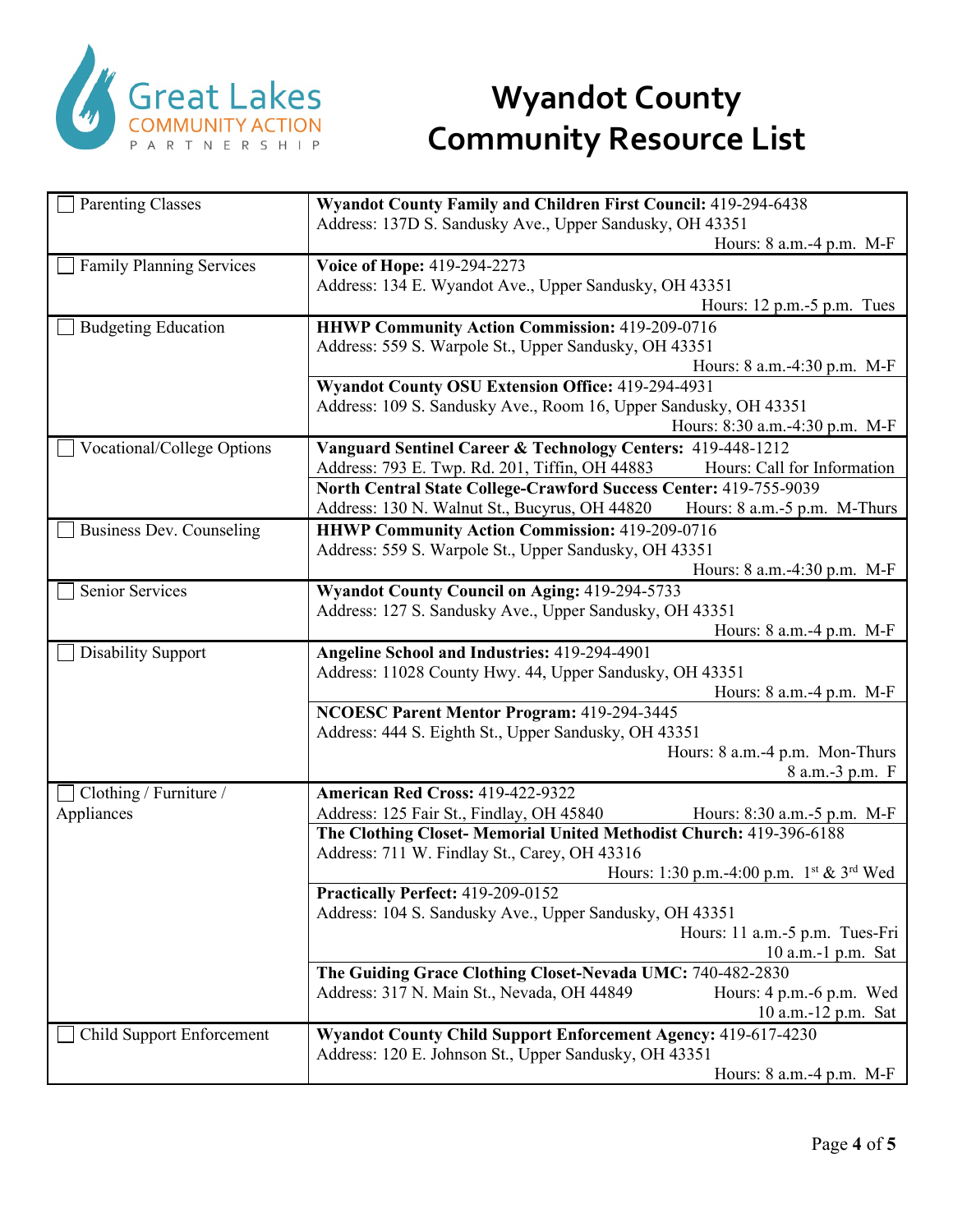

| <b>Parenting Classes</b>                                                                                        | Wyandot County Family and Children First Council: 419-294-6438                                                 |  |  |
|-----------------------------------------------------------------------------------------------------------------|----------------------------------------------------------------------------------------------------------------|--|--|
|                                                                                                                 | Address: 137D S. Sandusky Ave., Upper Sandusky, OH 43351                                                       |  |  |
|                                                                                                                 | Hours: 8 a.m.-4 p.m. M-F                                                                                       |  |  |
| <b>Family Planning Services</b>                                                                                 | Voice of Hope: 419-294-2273                                                                                    |  |  |
|                                                                                                                 | Address: 134 E. Wyandot Ave., Upper Sandusky, OH 43351                                                         |  |  |
|                                                                                                                 | Hours: $12$ p.m. $-5$ p.m. Tues                                                                                |  |  |
| <b>Budgeting Education</b>                                                                                      | <b>HHWP Community Action Commission: 419-209-0716</b><br>Address: 559 S. Warpole St., Upper Sandusky, OH 43351 |  |  |
|                                                                                                                 |                                                                                                                |  |  |
|                                                                                                                 | Hours: 8 a.m. -4:30 p.m. M-F                                                                                   |  |  |
|                                                                                                                 | Wyandot County OSU Extension Office: 419-294-4931                                                              |  |  |
|                                                                                                                 | Address: 109 S. Sandusky Ave., Room 16, Upper Sandusky, OH 43351                                               |  |  |
|                                                                                                                 | Hours: 8:30 a.m.-4:30 p.m. M-F                                                                                 |  |  |
| Vocational/College Options                                                                                      | Vanguard Sentinel Career & Technology Centers: 419-448-1212                                                    |  |  |
|                                                                                                                 | Address: 793 E. Twp. Rd. 201, Tiffin, OH 44883<br>Hours: Call for Information                                  |  |  |
|                                                                                                                 | North Central State College-Crawford Success Center: 419-755-9039                                              |  |  |
|                                                                                                                 | Address: 130 N. Walnut St., Bucyrus, OH 44820<br>Hours: 8 a.m.-5 p.m. M-Thurs                                  |  |  |
| <b>Business Dev. Counseling</b>                                                                                 | <b>HHWP Community Action Commission: 419-209-0716</b>                                                          |  |  |
|                                                                                                                 | Address: 559 S. Warpole St., Upper Sandusky, OH 43351                                                          |  |  |
|                                                                                                                 | Hours: 8 a.m.-4:30 p.m. M-F                                                                                    |  |  |
| Senior Services                                                                                                 | Wyandot County Council on Aging: 419-294-5733                                                                  |  |  |
|                                                                                                                 | Address: 127 S. Sandusky Ave., Upper Sandusky, OH 43351                                                        |  |  |
|                                                                                                                 | Hours: 8 a.m.-4 p.m. M-F                                                                                       |  |  |
| <b>Disability Support</b>                                                                                       | Angeline School and Industries: 419-294-4901                                                                   |  |  |
|                                                                                                                 | Address: 11028 County Hwy. 44, Upper Sandusky, OH 43351                                                        |  |  |
|                                                                                                                 | Hours: $8$ a.m. $-4$ p.m. M-F                                                                                  |  |  |
| NCOESC Parent Mentor Program: 419-294-3445                                                                      |                                                                                                                |  |  |
|                                                                                                                 | Address: 444 S. Eighth St., Upper Sandusky, OH 43351                                                           |  |  |
|                                                                                                                 | Hours: 8 a.m.-4 p.m. Mon-Thurs                                                                                 |  |  |
|                                                                                                                 | 8 a.m.-3 p.m. F                                                                                                |  |  |
| Clothing / Furniture /                                                                                          | American Red Cross: 419-422-9322                                                                               |  |  |
| Appliances                                                                                                      | Address: 125 Fair St., Findlay, OH 45840<br>Hours: 8:30 a.m.-5 p.m. M-F                                        |  |  |
|                                                                                                                 | The Clothing Closet- Memorial United Methodist Church: 419-396-6188                                            |  |  |
|                                                                                                                 | Address: 711 W. Findlay St., Carey, OH 43316                                                                   |  |  |
|                                                                                                                 | Hours: 1:30 p.m. -4:00 p.m. $1^{st}$ & 3 <sup>rd</sup> Wed<br>Practically Perfect: 419-209-0152                |  |  |
|                                                                                                                 |                                                                                                                |  |  |
| Address: 104 S. Sandusky Ave., Upper Sandusky, OH 43351<br>Hours: 11 a.m.-5 p.m. Tues-Fri<br>10 a.m.-1 p.m. Sat |                                                                                                                |  |  |
|                                                                                                                 |                                                                                                                |  |  |
|                                                                                                                 | Address: 317 N. Main St., Nevada, OH 44849<br>Hours: 4 p.m. -6 p.m. Wed                                        |  |  |
|                                                                                                                 | 10 a.m.-12 p.m. Sat                                                                                            |  |  |
| <b>Child Support Enforcement</b>                                                                                | Wyandot County Child Support Enforcement Agency: 419-617-4230                                                  |  |  |
|                                                                                                                 | Address: 120 E. Johnson St., Upper Sandusky, OH 43351                                                          |  |  |
|                                                                                                                 | Hours: 8 a.m.-4 p.m. M-F                                                                                       |  |  |